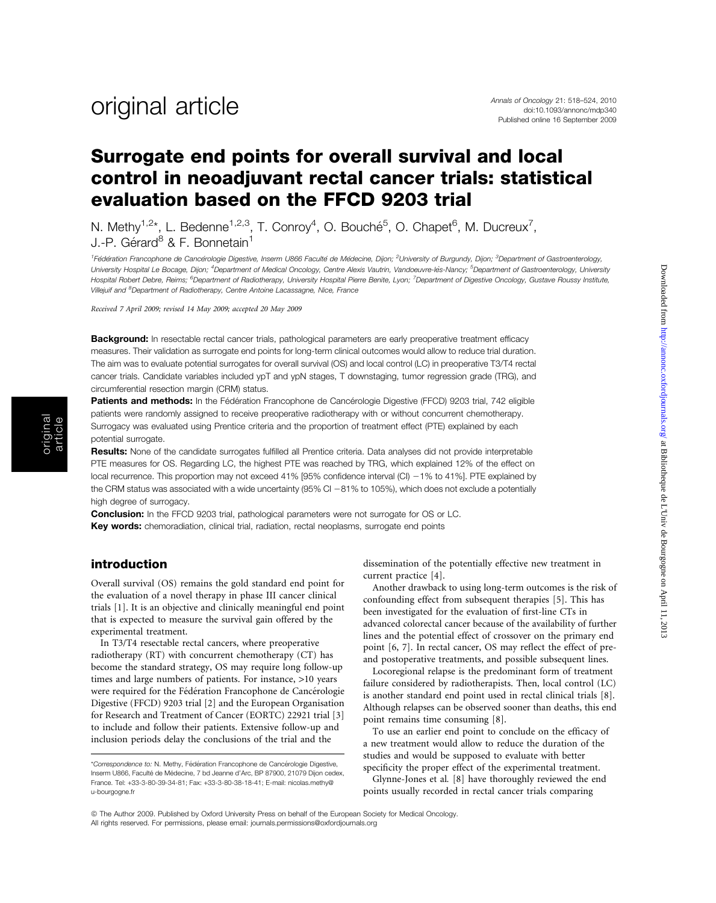Downloaded from http://amonc.oxfordjournals.org/ at Bibliotheque de L'Univ de Bourgogne on April 11, 2013 Downloaded from <http://annonc.oxfordjournals.org/> at Bibliotheque de L'Univ de Bourgogne on April 11, 2013

### Surrogate end points for overall survival and local control in neoadjuvant rectal cancer trials: statistical evaluation based on the FFCD 9203 trial

N. Methy<sup>1,2\*</sup>, L. Bedenne<sup>1,2,3</sup>, T. Conroy<sup>4</sup>, O. Bouché<sup>5</sup>, O. Chapet<sup>6</sup>, M. Ducreux<sup>7</sup>, J.-P. Gérard<sup>8</sup> & F. Bonnetain<sup>1</sup>

<sup>1</sup>Fédération Francophone de Cancérologie Digestive, Inserm U866 Faculté de Médecine, Dijon; <sup>2</sup>University of Burgundy, Dijon; <sup>3</sup>Department of Gastroenterology, University Hospital Le Bocage, Dijon; <sup>4</sup>Department of Medical Oncology, Centre Alexis Vautrin, Vandoeuvre-lès-Nancy; <sup>5</sup>Department of Gastroenterology, University Hospital Robert Debre, Reims; <sup>6</sup>Department of Radiotherapy, University Hospital Pierre Benite, Lyon; <sup>7</sup>Department of Digestive Oncology, Gustave Roussy Institute, Villejuif and <sup>8</sup>Department of Radiotherapy, Centre Antoine Lacassagne, Nice, France

Received 7 April 2009; revised 14 May 2009; accepted 20 May 2009

Background: In resectable rectal cancer trials, pathological parameters are early preoperative treatment efficacy measures. Their validation as surrogate end points for long-term clinical outcomes would allow to reduce trial duration. The aim was to evaluate potential surrogates for overall survival (OS) and local control (LC) in preoperative T3/T4 rectal cancer trials. Candidate variables included ypT and ypN stages, T downstaging, tumor regression grade (TRG), and circumferential resection margin (CRM) status.

Patients and methods: In the Fédération Francophone de Cancérologie Digestive (FFCD) 9203 trial, 742 eligible patients were randomly assigned to receive preoperative radiotherapy with or without concurrent chemotherapy. Surrogacy was evaluated using Prentice criteria and the proportion of treatment effect (PTE) explained by each potential surrogate.

Results: None of the candidate surrogates fulfilled all Prentice criteria. Data analyses did not provide interpretable PTE measures for OS. Regarding LC, the highest PTE was reached by TRG, which explained 12% of the effect on local recurrence. This proportion may not exceed 41% [95% confidence interval (CI) -1% to 41%]. PTE explained by the CRM status was associated with a wide uncertainty (95% CI -81% to 105%), which does not exclude a potentially high degree of surrogacy.

**Conclusion:** In the FFCD 9203 trial, pathological parameters were not surrogate for OS or LC. Key words: chemoradiation, clinical trial, radiation, rectal neoplasms, surrogate end points

#### introduction

Overall survival (OS) remains the gold standard end point for the evaluation of a novel therapy in phase III cancer clinical trials [1]. It is an objective and clinically meaningful end point that is expected to measure the survival gain offered by the experimental treatment.

In T3/T4 resectable rectal cancers, where preoperative radiotherapy (RT) with concurrent chemotherapy (CT) has become the standard strategy, OS may require long follow-up times and large numbers of patients. For instance, >10 years were required for the Fédération Francophone de Cancérologie Digestive (FFCD) 9203 trial [2] and the European Organisation for Research and Treatment of Cancer (EORTC) 22921 trial [3] to include and follow their patients. Extensive follow-up and inclusion periods delay the conclusions of the trial and the

dissemination of the potentially effective new treatment in current practice [4].

Another drawback to using long-term outcomes is the risk of confounding effect from subsequent therapies [5]. This has been investigated for the evaluation of first-line CTs in advanced colorectal cancer because of the availability of further lines and the potential effect of crossover on the primary end point [6, 7]. In rectal cancer, OS may reflect the effect of preand postoperative treatments, and possible subsequent lines.

Locoregional relapse is the predominant form of treatment failure considered by radiotherapists. Then, local control (LC) is another standard end point used in rectal clinical trials [8]. Although relapses can be observed sooner than deaths, this end point remains time consuming [8].

To use an earlier end point to conclude on the efficacy of a new treatment would allow to reduce the duration of the studies and would be supposed to evaluate with better specificity the proper effect of the experimental treatment.

Glynne-Jones et al. [8] have thoroughly reviewed the end points usually recorded in rectal cancer trials comparing

<sup>\*</sup>Correspondence to: N. Methy, Fédération Francophone de Cancérologie Digestive, Inserm U866, Faculté de Médecine, 7 bd Jeanne d'Arc, BP 87900, 21079 Dijon cedex, France. Tel: +33-3-80-39-34-81; Fax: +33-3-80-38-18-41; E-mail: nicolas.methy@ u-bourgogne.fr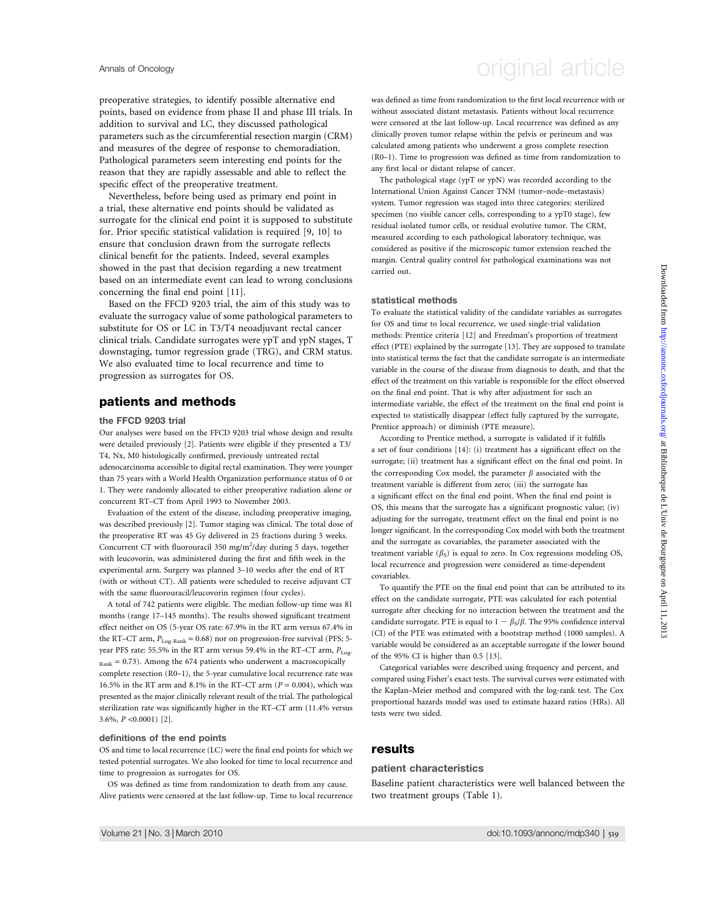preoperative strategies, to identify possible alternative end points, based on evidence from phase II and phase III trials. In addition to survival and LC, they discussed pathological parameters such as the circumferential resection margin (CRM) and measures of the degree of response to chemoradiation. Pathological parameters seem interesting end points for the reason that they are rapidly assessable and able to reflect the specific effect of the preoperative treatment.

Nevertheless, before being used as primary end point in a trial, these alternative end points should be validated as surrogate for the clinical end point it is supposed to substitute for. Prior specific statistical validation is required [9, 10] to ensure that conclusion drawn from the surrogate reflects clinical benefit for the patients. Indeed, several examples showed in the past that decision regarding a new treatment based on an intermediate event can lead to wrong conclusions concerning the final end point [11].

Based on the FFCD 9203 trial, the aim of this study was to evaluate the surrogacy value of some pathological parameters to substitute for OS or LC in T3/T4 neoadjuvant rectal cancer clinical trials. Candidate surrogates were ypT and ypN stages, T downstaging, tumor regression grade (TRG), and CRM status. We also evaluated time to local recurrence and time to progression as surrogates for OS.

#### patients and methods

#### the FFCD 9203 trial

Our analyses were based on the FFCD 9203 trial whose design and results were detailed previously [2]. Patients were eligible if they presented a T3/ T4, Nx, M0 histologically confirmed, previously untreated rectal adenocarcinoma accessible to digital rectal examination. They were younger than 75 years with a World Health Organization performance status of 0 or 1. They were randomly allocated to either preoperative radiation alone or concurrent RT–CT from April 1993 to November 2003.

Evaluation of the extent of the disease, including preoperative imaging, was described previously [2]. Tumor staging was clinical. The total dose of the preoperative RT was 45 Gy delivered in 25 fractions during 5 weeks. Concurrent CT with fluorouracil 350 mg/m<sup>2</sup>/day during 5 days, together with leucovorin, was administered during the first and fifth week in the experimental arm. Surgery was planned 3–10 weeks after the end of RT (with or without CT). All patients were scheduled to receive adjuvant CT with the same fluorouracil/leucovorin regimen (four cycles).

A total of 742 patients were eligible. The median follow-up time was 81 months (range 17–145 months). The results showed significant treatment effect neither on OS (5-year OS rate: 67.9% in the RT arm versus 67.4% in the RT–CT arm,  $P_{Log-Rank} = 0.68$ ) nor on progression-free survival (PFS; 5year PFS rate: 55.5% in the RT arm versus 59.4% in the RT–CT arm,  $P_{LoS}$  $_{\text{Rank}} = 0.73$ ). Among the 674 patients who underwent a macroscopically complete resection (R0–1), the 5-year cumulative local recurrence rate was 16.5% in the RT arm and 8.1% in the RT–CT arm ( $P = 0.004$ ), which was presented as the major clinically relevant result of the trial. The pathological sterilization rate was significantly higher in the RT–CT arm (11.4% versus 3.6%, P <0.0001) [2].

#### definitions of the end points

OS and time to local recurrence (LC) were the final end points for which we tested potential surrogates. We also looked for time to local recurrence and time to progression as surrogates for OS.

OS was defined as time from randomization to death from any cause. Alive patients were censored at the last follow-up. Time to local recurrence

# Annals of Oncology **Annals of Oncology** original article

was defined as time from randomization to the first local recurrence with or without associated distant metastasis. Patients without local recurrence were censored at the last follow-up. Local recurrence was defined as any clinically proven tumor relapse within the pelvis or perineum and was calculated among patients who underwent a gross complete resection (R0–1). Time to progression was defined as time from randomization to any first local or distant relapse of cancer.

The pathological stage (ypT or ypN) was recorded according to the International Union Against Cancer TNM (tumor–node–metastasis) system. Tumor regression was staged into three categories: sterilized specimen (no visible cancer cells, corresponding to a ypT0 stage), few residual isolated tumor cells, or residual evolutive tumor. The CRM, measured according to each pathological laboratory technique, was considered as positive if the microscopic tumor extension reached the margin. Central quality control for pathological examinations was not carried out.

#### statistical methods

To evaluate the statistical validity of the candidate variables as surrogates for OS and time to local recurrence, we used single-trial validation methods: Prentice criteria [12] and Freedman's proportion of treatment effect (PTE) explained by the surrogate [13]. They are supposed to translate into statistical terms the fact that the candidate surrogate is an intermediate variable in the course of the disease from diagnosis to death, and that the effect of the treatment on this variable is responsible for the effect observed on the final end point. That is why after adjustment for such an intermediate variable, the effect of the treatment on the final end point is expected to statistically disappear (effect fully captured by the surrogate, Prentice approach) or diminish (PTE measure).

According to Prentice method, a surrogate is validated if it fulfills a set of four conditions [14]: (i) treatment has a significant effect on the surrogate; (ii) treatment has a significant effect on the final end point. In the corresponding Cox model, the parameter  $\beta$  associated with the treatment variable is different from zero; (iii) the surrogate has a significant effect on the final end point. When the final end point is OS, this means that the surrogate has a significant prognostic value; (iv) adjusting for the surrogate, treatment effect on the final end point is no longer significant. In the corresponding Cox model with both the treatment and the surrogate as covariables, the parameter associated with the treatment variable  $(\beta_S)$  is equal to zero. In Cox regressions modeling OS, local recurrence and progression were considered as time-dependent covariables.

To quantify the PTE on the final end point that can be attributed to its effect on the candidate surrogate, PTE was calculated for each potential surrogate after checking for no interaction between the treatment and the candidate surrogate. PTE is equal to  $1 - \beta_s/\beta$ . The 95% confidence interval (CI) of the PTE was estimated with a bootstrap method (1000 samples). A variable would be considered as an acceptable surrogate if the lower bound of the 95% CI is higher than 0.5 [13].

Categorical variables were described using frequency and percent, and compared using Fisher's exact tests. The survival curves were estimated with the Kaplan–Meier method and compared with the log-rank test. The Cox proportional hazards model was used to estimate hazard ratios (HRs). All tests were two sided.

#### results

#### patient characteristics

Baseline patient characteristics were well balanced between the two treatment groups (Table 1).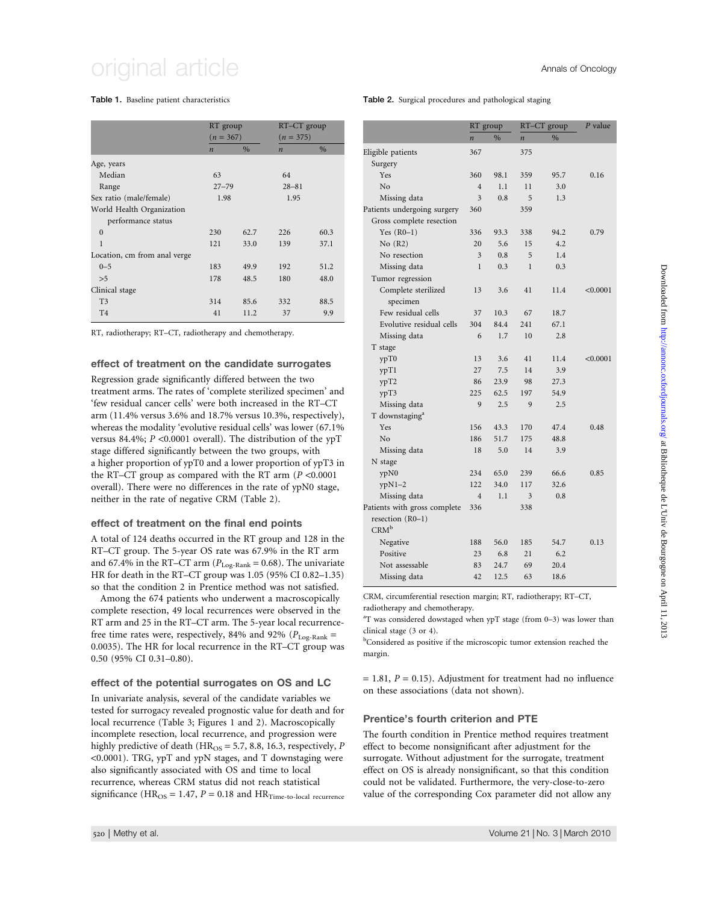# original article  $\overline{\phantom{a}}$  article  $\overline{\phantom{a}}$

#### Table 1. Baseline patient characteristics

|                              | RT group<br>$(n = 367)$ |               | $RT-CT$ group<br>$(n = 375)$ |      |
|------------------------------|-------------------------|---------------|------------------------------|------|
|                              |                         |               |                              |      |
|                              | $\boldsymbol{n}$        | $\frac{0}{0}$ | $\boldsymbol{n}$             | $\%$ |
| Age, years                   |                         |               |                              |      |
| Median                       | 63                      |               | 64                           |      |
| Range                        | $27 - 79$               |               | $28 - 81$                    |      |
| Sex ratio (male/female)      | 1.98                    |               | 1.95                         |      |
| World Health Organization    |                         |               |                              |      |
| performance status           |                         |               |                              |      |
| $\theta$                     | 230                     | 62.7          | 226                          | 60.3 |
| $\mathbf{1}$                 | 121                     | 33.0          | 139                          | 37.1 |
| Location, cm from anal verge |                         |               |                              |      |
| $0 - 5$                      | 183                     | 49.9          | 192                          | 51.2 |
| >5                           | 178                     | 48.5          | 180                          | 48.0 |
| Clinical stage               |                         |               |                              |      |
| T <sub>3</sub>               | 314                     | 85.6          | 332                          | 88.5 |
| T <sub>4</sub>               | 41                      | 11.2          | 37                           | 9.9  |
|                              |                         |               |                              |      |

RT, radiotherapy; RT–CT, radiotherapy and chemotherapy.

#### effect of treatment on the candidate surrogates

Regression grade significantly differed between the two treatment arms. The rates of 'complete sterilized specimen' and 'few residual cancer cells' were both increased in the RT–CT arm (11.4% versus 3.6% and 18.7% versus 10.3%, respectively), whereas the modality 'evolutive residual cells' was lower (67.1% versus 84.4%;  $P < 0.0001$  overall). The distribution of the ypT stage differed significantly between the two groups, with a higher proportion of ypT0 and a lower proportion of ypT3 in the RT–CT group as compared with the RT arm ( $P < 0.0001$ ) overall). There were no differences in the rate of ypN0 stage, neither in the rate of negative CRM (Table 2).

#### effect of treatment on the final end points

A total of 124 deaths occurred in the RT group and 128 in the RT–CT group. The 5-year OS rate was 67.9% in the RT arm and 67.4% in the RT–CT arm ( $P_{\text{Log-Rank}} = 0.68$ ). The univariate HR for death in the RT–CT group was 1.05 (95% CI 0.82–1.35) so that the condition 2 in Prentice method was not satisfied.

Among the 674 patients who underwent a macroscopically complete resection, 49 local recurrences were observed in the RT arm and 25 in the RT–CT arm. The 5-year local recurrencefree time rates were, respectively, 84% and 92% ( $P_{\text{Log-Rank}} =$ 0.0035). The HR for local recurrence in the RT–CT group was 0.50 (95% CI 0.31–0.80).

#### effect of the potential surrogates on OS and LC

In univariate analysis, several of the candidate variables we tested for surrogacy revealed prognostic value for death and for local recurrence (Table 3; Figures 1 and 2). Macroscopically incomplete resection, local recurrence, and progression were highly predictive of death ( $HR<sub>OS</sub> = 5.7, 8.8, 16.3$ , respectively, P <0.0001). TRG, ypT and ypN stages, and T downstaging were also significantly associated with OS and time to local recurrence, whereas CRM status did not reach statistical significance ( $HR_{OS} = 1.47$ ,  $P = 0.18$  and  $HR_{Time-to-local}$  recurrence Table 2. Surgical procedures and pathological staging

|                              | RT group         |      |                  | RT-CT group | $P$ value |
|------------------------------|------------------|------|------------------|-------------|-----------|
|                              | $\boldsymbol{n}$ | $\%$ | $\boldsymbol{n}$ | $\%$        |           |
| Eligible patients            | 367              |      | 375              |             |           |
| Surgery                      |                  |      |                  |             |           |
| Yes                          | 360              | 98.1 | 359              | 95.7        | 0.16      |
| No                           | $\overline{4}$   | 1.1  | 11               | 3.0         |           |
| Missing data                 | 3                | 0.8  | 5                | 1.3         |           |
| Patients undergoing surgery  | 360              |      | 359              |             |           |
| Gross complete resection     |                  |      |                  |             |           |
| Yes $(R0-1)$                 | 336              | 93.3 | 338              | 94.2        | 0.79      |
| No(R2)                       | 20               | 5.6  | 15               | 4.2         |           |
| No resection                 | 3                | 0.8  | 5                | 1.4         |           |
| Missing data                 | $\mathbf{1}$     | 0.3  | $\mathbf{1}$     | 0.3         |           |
| Tumor regression             |                  |      |                  |             |           |
| Complete sterilized          | 13               | 3.6  | 41               | 11.4        | < 0.0001  |
| specimen                     |                  |      |                  |             |           |
| Few residual cells           | 37               | 10.3 | 67               | 18.7        |           |
| Evolutive residual cells     | 304              | 84.4 | 241              | 67.1        |           |
| Missing data                 | 6                | 1.7  | 10               | 2.8         |           |
| T stage                      |                  |      |                  |             |           |
| ypT0                         | 13               | 3.6  | 41               | 11.4        | < 0.0001  |
| ypT1                         | 27               | 7.5  | 14               | 3.9         |           |
| ypT2                         | 86               | 23.9 | 98               | 27.3        |           |
| ypT3                         | 225              | 62.5 | 197              | 54.9        |           |
| Missing data                 | 9                | 2.5  | 9                | 2.5         |           |
| T downstaging <sup>a</sup>   |                  |      |                  |             |           |
| Yes                          | 156              | 43.3 | 170              | 47.4        | 0.48      |
| No                           | 186              | 51.7 | 175              | 48.8        |           |
| Missing data                 | 18               | 5.0  | 14               | 3.9         |           |
| N stage                      |                  |      |                  |             |           |
| ypN0                         | 234              | 65.0 | 239              | 66.6        | 0.85      |
| $ypN1-2$                     | 122              | 34.0 | 117              | 32.6        |           |
| Missing data                 | $\overline{4}$   | 1.1  | 3                | 0.8         |           |
| Patients with gross complete | 336              |      | 338              |             |           |
| resection (R0-1)             |                  |      |                  |             |           |
| $CRM^b$                      |                  |      |                  |             |           |
| Negative                     | 188              | 56.0 | 185              | 54.7        | 0.13      |
| Positive                     | 23               | 6.8  | 21               | 6.2         |           |
| Not assessable               | 83               | 24.7 | 69               | 20.4        |           |
| Missing data                 | 42               | 12.5 | 63               | 18.6        |           |

CRM, circumferential resection margin; RT, radiotherapy; RT–CT, radiotherapy and chemotherapy.

<sup>a</sup>T was considered dowstaged when ypT stage (from 0-3) was lower than clinical stage (3 or 4).

<sup>b</sup>Considered as positive if the microscopic tumor extension reached the margin.

 $= 1.81, P = 0.15$ . Adjustment for treatment had no influence on these associations (data not shown).

#### Prentice's fourth criterion and PTE

The fourth condition in Prentice method requires treatment effect to become nonsignificant after adjustment for the surrogate. Without adjustment for the surrogate, treatment effect on OS is already nonsignificant, so that this condition could not be validated. Furthermore, the very-close-to-zero value of the corresponding Cox parameter did not allow any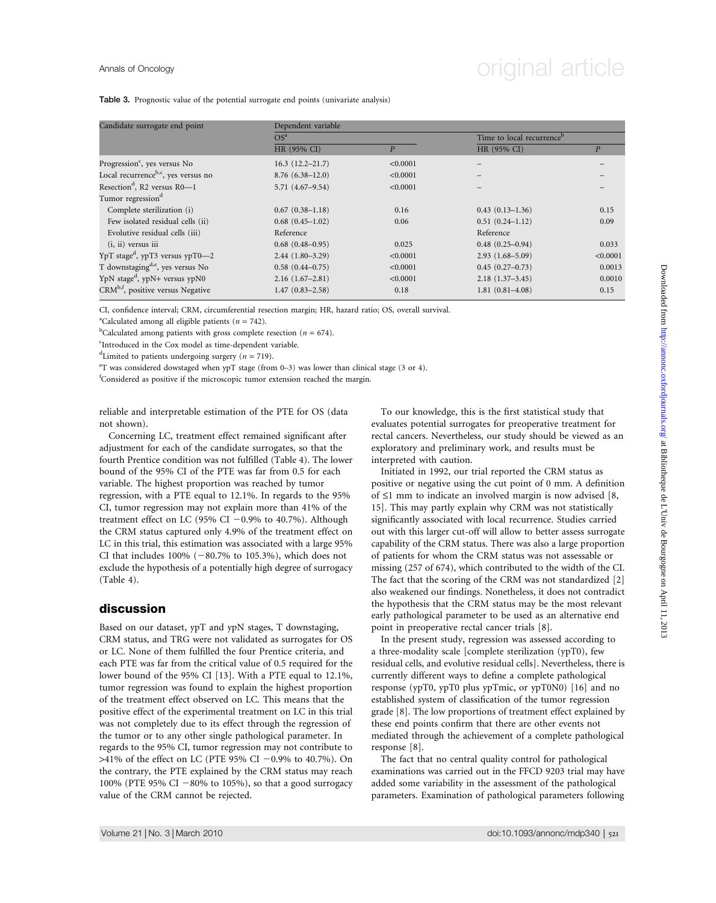# Annals of Oncology **Annals of Oncology** original article

Table 3. Prognostic value of the potential surrogate end points (univariate analysis)

| Candidate surrogate end point                   | Dependent variable     |                |                     |                                       |  |  |  |
|-------------------------------------------------|------------------------|----------------|---------------------|---------------------------------------|--|--|--|
|                                                 | OS <sup>a</sup>        |                |                     | Time to local recurrence <sup>b</sup> |  |  |  |
|                                                 | HR (95% CI)            | $\overline{P}$ | HR (95% CI)         | P                                     |  |  |  |
| Progression <sup>c</sup> , yes versus No        | $16.3(12.2 - 21.7)$    | < 0.0001       |                     |                                       |  |  |  |
| Local recurrence <sup>b,c</sup> , yes versus no | $8.76(6.38-12.0)$      | < 0.0001       |                     |                                       |  |  |  |
| Resection <sup>d</sup> , R2 versus R0-1         | $5.71(4.67-9.54)$      | < 0.0001       |                     |                                       |  |  |  |
| Tumor regression <sup>d</sup>                   |                        |                |                     |                                       |  |  |  |
| Complete sterilization (i)                      | $0.67(0.38-1.18)$      | 0.16           | $0.43(0.13 - 1.36)$ | 0.15                                  |  |  |  |
| Few isolated residual cells (ii)                | $0.68$ $(0.45-1.02)$   | 0.06           | $0.51(0.24 - 1.12)$ | 0.09                                  |  |  |  |
| Evolutive residual cells (iii)                  | Reference              |                | Reference           |                                       |  |  |  |
| $(i, ii)$ versus $iii$                          | $0.68$ $(0.48 - 0.95)$ | 0.025          | $0.48(0.25 - 0.94)$ | 0.033                                 |  |  |  |
| $YpT$ stage <sup>d</sup> , ypT3 versus ypT0-2   | $2.44(1.80-3.29)$      | < 0.0001       | $2.93(1.68 - 5.09)$ | < 0.0001                              |  |  |  |
| T downstaging <sup>d,e</sup> , yes versus No    | $0.58(0.44 - 0.75)$    | < 0.0001       | $0.45(0.27-0.73)$   | 0.0013                                |  |  |  |
| YpN stage <sup>d</sup> , ypN+ versus ypN0       | $2.16(1.67-2.81)$      | < 0.0001       | $2.18(1.37-3.45)$   | 0.0010                                |  |  |  |
| CRM <sup>b,f</sup> , positive versus Negative   | $1.47(0.83 - 2.58)$    | 0.18           | $1.81(0.81 - 4.08)$ | 0.15                                  |  |  |  |

CI, confidence interval; CRM, circumferential resection margin; HR, hazard ratio; OS, overall survival.

<sup>a</sup>Calculated among all eligible patients ( $n = 742$ ).

<sup>b</sup>Calculated among patients with gross complete resection ( $n = 674$ ).

<sup>c</sup>Introduced in the Cox model as time-dependent variable.

<sup>d</sup>Limited to patients undergoing surgery ( $n = 719$ ).

e T was considered dowstaged when ypT stage (from 0–3) was lower than clinical stage (3 or 4).

<sup>f</sup>Considered as positive if the microscopic tumor extension reached the margin.

reliable and interpretable estimation of the PTE for OS (data not shown).

Concerning LC, treatment effect remained significant after adjustment for each of the candidate surrogates, so that the fourth Prentice condition was not fulfilled (Table 4). The lower bound of the 95% CI of the PTE was far from 0.5 for each variable. The highest proportion was reached by tumor regression, with a PTE equal to 12.1%. In regards to the 95% CI, tumor regression may not explain more than 41% of the treatment effect on LC (95% CI  $-0.9%$  to 40.7%). Although the CRM status captured only 4.9% of the treatment effect on LC in this trial, this estimation was associated with a large 95% CI that includes  $100\%$  ( $-80.7\%$  to 105.3%), which does not exclude the hypothesis of a potentially high degree of surrogacy (Table 4).

#### discussion

Based on our dataset, ypT and ypN stages, T downstaging, CRM status, and TRG were not validated as surrogates for OS or LC. None of them fulfilled the four Prentice criteria, and each PTE was far from the critical value of 0.5 required for the lower bound of the 95% CI [13]. With a PTE equal to 12.1%, tumor regression was found to explain the highest proportion of the treatment effect observed on LC. This means that the positive effect of the experimental treatment on LC in this trial was not completely due to its effect through the regression of the tumor or to any other single pathological parameter. In regards to the 95% CI, tumor regression may not contribute to  $>41\%$  of the effect on LC (PTE 95% CI -0.9% to 40.7%). On the contrary, the PTE explained by the CRM status may reach 100% (PTE 95% CI  $-80\%$  to 105%), so that a good surrogacy value of the CRM cannot be rejected.

To our knowledge, this is the first statistical study that evaluates potential surrogates for preoperative treatment for rectal cancers. Nevertheless, our study should be viewed as an exploratory and preliminary work, and results must be interpreted with caution.

Initiated in 1992, our trial reported the CRM status as positive or negative using the cut point of 0 mm. A definition of  $\leq 1$  mm to indicate an involved margin is now advised [8, 15]. This may partly explain why CRM was not statistically significantly associated with local recurrence. Studies carried out with this larger cut-off will allow to better assess surrogate capability of the CRM status. There was also a large proportion of patients for whom the CRM status was not assessable or missing (257 of 674), which contributed to the width of the CI. The fact that the scoring of the CRM was not standardized [2] also weakened our findings. Nonetheless, it does not contradict the hypothesis that the CRM status may be the most relevant early pathological parameter to be used as an alternative end point in preoperative rectal cancer trials [8].

In the present study, regression was assessed according to a three-modality scale [complete sterilization (ypT0), few residual cells, and evolutive residual cells]. Nevertheless, there is currently different ways to define a complete pathological response (ypT0, ypT0 plus ypTmic, or ypT0N0) [16] and no established system of classification of the tumor regression grade [8]. The low proportions of treatment effect explained by these end points confirm that there are other events not mediated through the achievement of a complete pathological response [8].

The fact that no central quality control for pathological examinations was carried out in the FFCD 9203 trial may have added some variability in the assessment of the pathological parameters. Examination of pathological parameters following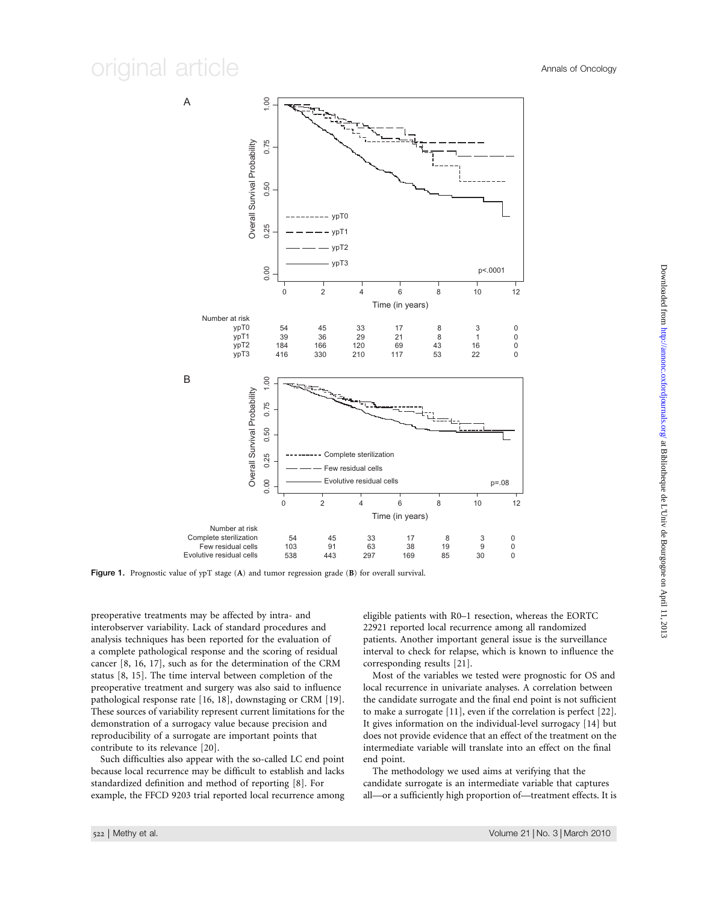### original article  $\overline{\phantom{a}}$  article  $\overline{\phantom{a}}$



Figure 1. Prognostic value of ypT stage (A) and tumor regression grade (B) for overall survival.

preoperative treatments may be affected by intra- and interobserver variability. Lack of standard procedures and analysis techniques has been reported for the evaluation of a complete pathological response and the scoring of residual cancer [8, 16, 17], such as for the determination of the CRM status [8, 15]. The time interval between completion of the preoperative treatment and surgery was also said to influence pathological response rate [16, 18], downstaging or CRM [19]. These sources of variability represent current limitations for the demonstration of a surrogacy value because precision and reproducibility of a surrogate are important points that contribute to its relevance [20].

Such difficulties also appear with the so-called LC end point because local recurrence may be difficult to establish and lacks standardized definition and method of reporting [8]. For example, the FFCD 9203 trial reported local recurrence among eligible patients with R0–1 resection, whereas the EORTC 22921 reported local recurrence among all randomized patients. Another important general issue is the surveillance interval to check for relapse, which is known to influence the corresponding results [21].

Most of the variables we tested were prognostic for OS and local recurrence in univariate analyses. A correlation between the candidate surrogate and the final end point is not sufficient to make a surrogate [11], even if the correlation is perfect [22]. It gives information on the individual-level surrogacy [14] but does not provide evidence that an effect of the treatment on the intermediate variable will translate into an effect on the final end point.

The methodology we used aims at verifying that the candidate surrogate is an intermediate variable that captures all—or a sufficiently high proportion of—treatment effects. It is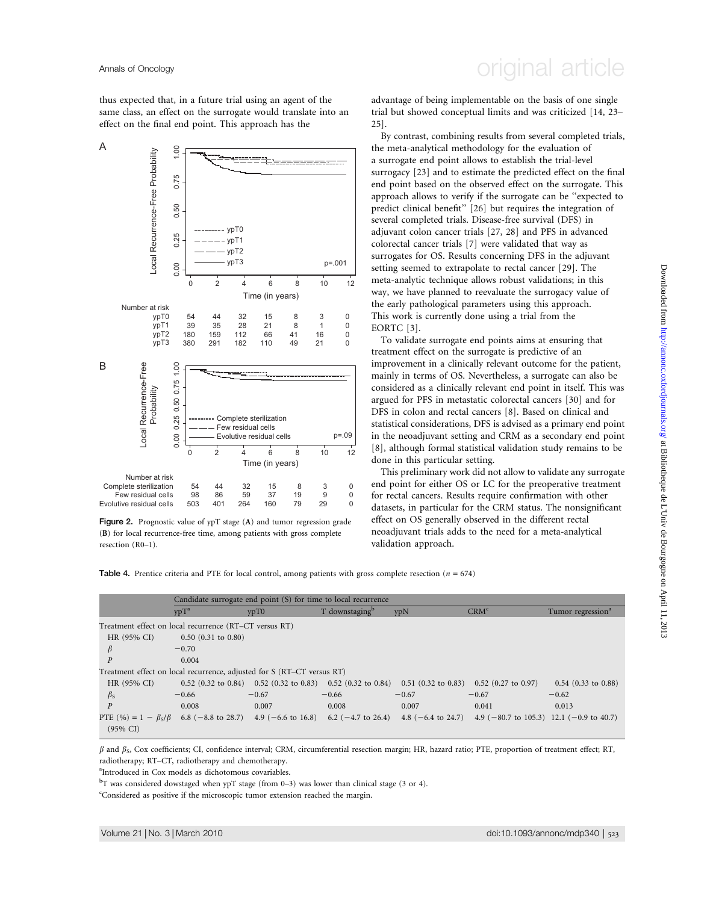thus expected that, in a future trial using an agent of the same class, an effect on the surrogate would translate into an effect on the final end point. This approach has the



Figure 2. Prognostic value of ypT stage (A) and tumor regression grade (B) for local recurrence-free time, among patients with gross complete resection (R0–1).

## Annals of Oncology **Annals of Oncology** original article

advantage of being implementable on the basis of one single trial but showed conceptual limits and was criticized [14, 23– 25].

By contrast, combining results from several completed trials, the meta-analytical methodology for the evaluation of a surrogate end point allows to establish the trial-level surrogacy [23] and to estimate the predicted effect on the final end point based on the observed effect on the surrogate. This approach allows to verify if the surrogate can be ''expected to predict clinical benefit'' [26] but requires the integration of several completed trials. Disease-free survival (DFS) in adjuvant colon cancer trials [27, 28] and PFS in advanced colorectal cancer trials [7] were validated that way as surrogates for OS. Results concerning DFS in the adjuvant setting seemed to extrapolate to rectal cancer [29]. The meta-analytic technique allows robust validations; in this way, we have planned to reevaluate the surrogacy value of the early pathological parameters using this approach. This work is currently done using a trial from the EORTC [3].

To validate surrogate end points aims at ensuring that treatment effect on the surrogate is predictive of an improvement in a clinically relevant outcome for the patient, mainly in terms of OS. Nevertheless, a surrogate can also be considered as a clinically relevant end point in itself. This was argued for PFS in metastatic colorectal cancers [30] and for DFS in colon and rectal cancers [8]. Based on clinical and statistical considerations, DFS is advised as a primary end point in the neoadjuvant setting and CRM as a secondary end point [8], although formal statistical validation study remains to be done in this particular setting.

This preliminary work did not allow to validate any surrogate end point for either OS or LC for the preoperative treatment for rectal cancers. Results require confirmation with other datasets, in particular for the CRM status. The nonsignificant effect on OS generally observed in the different rectal neoadjuvant trials adds to the need for a meta-analytical validation approach.

**Table 4.** Prentice criteria and PTE for local control, among patients with gross complete resection ( $n = 674$ )

|                                                                                       | Candidate surrogate end point (S) for time to local recurrence |         |                            |         |                                                                                                       |                               |
|---------------------------------------------------------------------------------------|----------------------------------------------------------------|---------|----------------------------|---------|-------------------------------------------------------------------------------------------------------|-------------------------------|
|                                                                                       | $v p T^a$                                                      | ypT0    | T downstaging <sup>b</sup> | ypN     | CRM <sup>c</sup>                                                                                      | Tumor regression <sup>a</sup> |
| Treatment effect on local recurrence (RT–CT versus RT)                                |                                                                |         |                            |         |                                                                                                       |                               |
| HR (95% CI)                                                                           | $0.50$ $(0.31$ to $0.80)$                                      |         |                            |         |                                                                                                       |                               |
| $\beta$                                                                               | $-0.70$                                                        |         |                            |         |                                                                                                       |                               |
|                                                                                       | 0.004                                                          |         |                            |         |                                                                                                       |                               |
| Treatment effect on local recurrence, adjusted for S (RT-CT versus RT)                |                                                                |         |                            |         |                                                                                                       |                               |
| HR (95% CI)                                                                           |                                                                |         |                            |         | $0.52$ (0.32 to 0.84) 0.52 (0.32 to 0.83) 0.52 (0.32 to 0.84) 0.51 (0.32 to 0.83) 0.52 (0.27 to 0.97) | $0.54$ (0.33 to 0.88)         |
| $\beta_{\rm S}$                                                                       | $-0.66$                                                        | $-0.67$ | $-0.66$                    | $-0.67$ | $-0.67$                                                                                               | $-0.62$                       |
| $\overline{P}$                                                                        | 0.008                                                          | 0.007   | 0.008                      | 0.007   | 0.041                                                                                                 | 0.013                         |
| PTE $(\%)=1 - \beta_s/\beta$ 6.8 (-8.8 to 28.7) 4.9 (-6.6 to 16.8) 6.2 (-4.7 to 26.4) |                                                                |         |                            |         | 4.8 $(-6.4 \text{ to } 24.7)$ 4.9 $(-80.7 \text{ to } 105.3)$ 12.1 $(-0.9 \text{ to } 40.7)$          |                               |
| $(95\% \text{ CI})$                                                                   |                                                                |         |                            |         |                                                                                                       |                               |

 $\beta$  and  $\beta$ <sub>S</sub>, Cox coefficients; CI, confidence interval; CRM, circumferential resection margin; HR, hazard ratio; PTE, proportion of treatment effect; RT, radiotherapy; RT–CT, radiotherapy and chemotherapy.

a Introduced in Cox models as dichotomous covariables.

 $^{\rm b}$ T was considered dowstaged when ypT stage (from 0–3) was lower than clinical stage (3 or 4).

<sup>c</sup>Considered as positive if the microscopic tumor extension reached the margin.